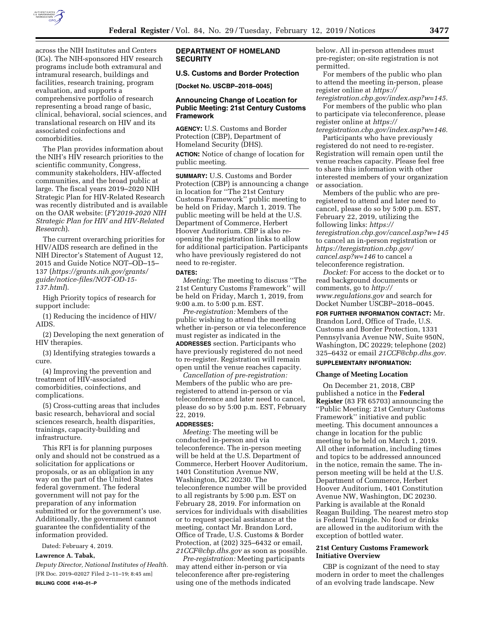

across the NIH Institutes and Centers (ICs). The NIH-sponsored HIV research programs include both extramural and intramural research, buildings and facilities, research training, program evaluation, and supports a comprehensive portfolio of research representing a broad range of basic, clinical, behavioral, social sciences, and translational research on HIV and its associated coinfections and comorbidities.

The Plan provides information about the NIH's HIV research priorities to the scientific community, Congress, community stakeholders, HIV-affected communities, and the broad public at large. The fiscal years 2019–2020 NIH Strategic Plan for HIV-Related Research was recently distributed and is available on the OAR website: (*FY2019-2020 NIH Strategic Plan for HIV and HIV-Related Research*).

The current overarching priorities for HIV/AIDS research are defined in the NIH Director's Statement of August 12, 2015 and Guide Notice NOT–OD–15– 137 (*[https://grants.nih.gov/grants/](https://grants.nih.gov/grants/guide/notice-files/NOT-OD-15-137.html)  [guide/notice-files/NOT-OD-15-](https://grants.nih.gov/grants/guide/notice-files/NOT-OD-15-137.html)  [137.html](https://grants.nih.gov/grants/guide/notice-files/NOT-OD-15-137.html)*).

High Priority topics of research for support include:

(1) Reducing the incidence of HIV/ AIDS.

(2) Developing the next generation of HIV therapies.

(3) Identifying strategies towards a cure.

(4) Improving the prevention and treatment of HIV-associated comorbidities, coinfections, and complications.

(5) Cross-cutting areas that includes basic research, behavioral and social sciences research, health disparities, trainings, capacity-building and infrastructure.

This RFI is for planning purposes only and should not be construed as a solicitation for applications or proposals, or as an obligation in any way on the part of the United States federal government. The federal government will not pay for the preparation of any information submitted or for the government's use. Additionally, the government cannot guarantee the confidentiality of the information provided.

Dated: February 4, 2019.

#### **Lawrence A. Tabak,**

*Deputy Director, National Institutes of Health.*  [FR Doc. 2019–02027 Filed 2–11–19; 8:45 am] **BILLING CODE 4140–01–P** 

# **DEPARTMENT OF HOMELAND SECURITY**

### **U.S. Customs and Border Protection**

**[Docket No. USCBP–2018–0045]** 

### **Announcing Change of Location for Public Meeting: 21st Century Customs Framework**

**AGENCY:** U.S. Customs and Border Protection (CBP), Department of Homeland Security (DHS).

**ACTION:** Notice of change of location for public meeting.

**SUMMARY:** U.S. Customs and Border Protection (CBP) is announcing a change in location for ''The 21st Century Customs Framework'' public meeting to be held on Friday, March 1, 2019. The public meeting will be held at the U.S. Department of Commerce, Herbert Hoover Auditorium. CBP is also reopening the registration links to allow for additional participation. Participants who have previously registered do not need to re-register.

#### **DATES:**

*Meeting:* The meeting to discuss ''The 21st Century Customs Framework'' will be held on Friday, March 1, 2019, from 9:00 a.m. to 5:00 p.m. EST.

*Pre-registration:* Members of the public wishing to attend the meeting whether in-person or via teleconference must register as indicated in the **ADDRESSES** section. Participants who have previously registered do not need to re-register. Registration will remain open until the venue reaches capacity.

*Cancellation of pre-registration:*  Members of the public who are preregistered to attend in-person or via teleconference and later need to cancel, please do so by 5:00 p.m. EST, February 22, 2019.

#### **ADDRESSES:**

*Meeting:* The meeting will be conducted in-person and via teleconference. The in-person meeting will be held at the U.S. Department of Commerce, Herbert Hoover Auditorium, 1401 Constitution Avenue NW, Washington, DC 20230. The teleconference number will be provided to all registrants by 5:00 p.m. EST on February 28, 2019. For information on services for individuals with disabilities or to request special assistance at the meeting, contact Mr. Brandon Lord, Office of Trade, U.S. Customs & Border Protection, at (202) 325–6432 or email, *[21CCF@cbp.dhs.gov](mailto:21CCF@cbp.dhs.gov)* as soon as possible.

*Pre-registration:* Meeting participants may attend either in-person or via teleconference after pre-registering using one of the methods indicated

below. All in-person attendees must pre-register; on-site registration is not permitted.

For members of the public who plan to attend the meeting in-person, please register online at *[https://](https://teregistration.cbp.gov/index.asp?w=145) [teregistration.cbp.gov/index.asp?w=145.](https://teregistration.cbp.gov/index.asp?w=145)* 

For members of the public who plan to participate via teleconference, please register online at *[https://](https://teregistration.cbp.gov/index.asp?w=146)*

*[teregistration.cbp.gov/index.asp?w=146.](https://teregistration.cbp.gov/index.asp?w=146)*  Participants who have previously registered do not need to re-register. Registration will remain open until the venue reaches capacity. Please feel free to share this information with other interested members of your organization or association.

Members of the public who are preregistered to attend and later need to cancel, please do so by 5:00 p.m. EST, February 22, 2019, utilizing the following links: *[https://](https://teregistration.cbp.gov/cancel.asp?w=145) [teregistration.cbp.gov/cancel.asp?w=145](https://teregistration.cbp.gov/cancel.asp?w=145)*  to cancel an in-person registration or *[https://teregistration.cbp.gov/](https://teregistration.cbp.gov/cancel.asp?w=146)  [cancel.asp?w=146](https://teregistration.cbp.gov/cancel.asp?w=146)* to cancel a teleconference registration.

*Docket:* For access to the docket or to read background documents or comments, go to *[http://](http://www.regulations.gov) [www.regulations.gov](http://www.regulations.gov)* and search for Docket Number USCBP–2018–0045.

**FOR FURTHER INFORMATION CONTACT:** Mr. Brandon Lord, Office of Trade, U.S. Customs and Border Protection, 1331 Pennsylvania Avenue NW, Suite 950N, Washington, DC 20229; telephone (202) 325–6432 or email *[21CCF@cbp.dhs.gov.](mailto:21CCF@cbp.dhs.gov)* 

# **SUPPLEMENTARY INFORMATION:**

# **Change of Meeting Location**

On December 21, 2018, CBP published a notice in the **Federal Register** (83 FR 65703) announcing the ''Public Meeting: 21st Century Customs Framework'' initiative and public meeting. This document announces a change in location for the public meeting to be held on March 1, 2019. All other information, including times and topics to be addressed announced in the notice, remain the same. The inperson meeting will be held at the U.S. Department of Commerce, Herbert Hoover Auditorium, 1401 Constitution Avenue NW, Washington, DC 20230. Parking is available at the Ronald Reagan Building. The nearest metro stop is Federal Triangle. No food or drinks are allowed in the auditorium with the exception of bottled water.

### **21st Century Customs Framework Initiative Overview**

CBP is cognizant of the need to stay modern in order to meet the challenges of an evolving trade landscape. New